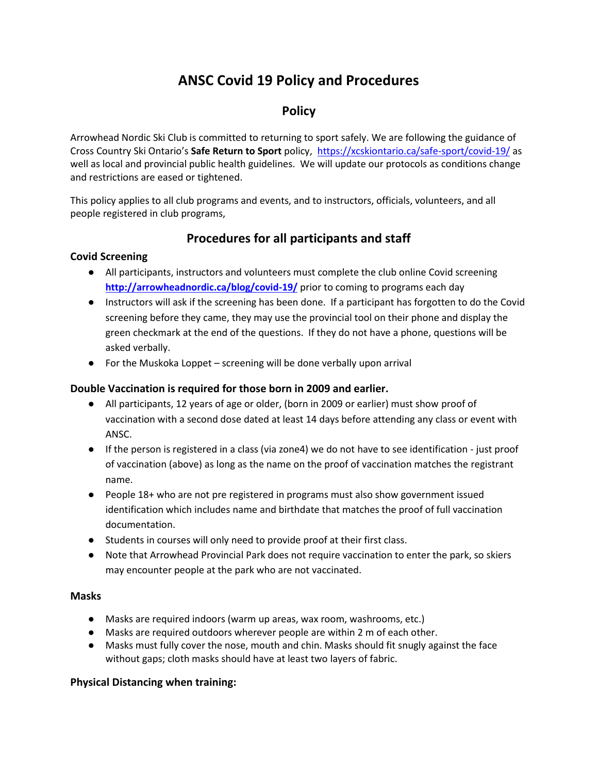# **ANSC Covid 19 Policy and Procedures**

## **Policy**

Arrowhead Nordic Ski Club is committed to returning to sport safely. We are following the guidance of Cross Country Ski Ontario's **Safe Return to Sport** policy, <https://xcskiontario.ca/safe-sport/covid-19/> as well as local and provincial public health guidelines. We will update our protocols as conditions change and restrictions are eased or tightened.

This policy applies to all club programs and events, and to instructors, officials, volunteers, and all people registered in club programs,

## **Procedures for all participants and staff**

#### **Covid Screening**

- All participants, instructors and volunteers must complete the club online Covid screening **<http://arrowheadnordic.ca/blog/covid-19/>** prior to coming to programs each day
- Instructors will ask if the screening has been done. If a participant has forgotten to do the Covid screening before they came, they may use the provincial tool on their phone and display the green checkmark at the end of the questions. If they do not have a phone, questions will be asked verbally.
- For the Muskoka Loppet screening will be done verbally upon arrival

#### **Double Vaccination is required for those born in 2009 and earlier.**

- All participants, 12 years of age or older, (born in 2009 or earlier) must show proof of vaccination with a second dose dated at least 14 days before attending any class or event with ANSC.
- If the person is registered in a class (via zone4) we do not have to see identification just proof of vaccination (above) as long as the name on the proof of vaccination matches the registrant name.
- People 18+ who are not pre registered in programs must also show government issued identification which includes name and birthdate that matches the proof of full vaccination documentation.
- Students in courses will only need to provide proof at their first class.
- Note that Arrowhead Provincial Park does not require vaccination to enter the park, so skiers may encounter people at the park who are not vaccinated.

#### **Masks**

- Masks are required indoors (warm up areas, wax room, washrooms, etc.)
- Masks are required outdoors wherever people are within 2 m of each other.
- Masks must fully cover the nose, mouth and chin. Masks should fit snugly against the face without gaps; cloth masks should have at least two layers of fabric.

### **Physical Distancing when training:**